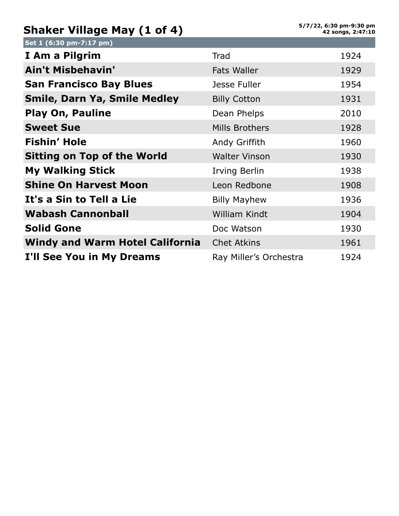## **Shaker Village May (1 of 4)**

| Set 1 (6:30 pm-7:17 pm)                |                        |      |
|----------------------------------------|------------------------|------|
| I Am a Pilgrim                         | Trad                   | 1924 |
| <b>Ain't Misbehavin'</b>               | <b>Fats Waller</b>     | 1929 |
| <b>San Francisco Bay Blues</b>         | Jesse Fuller           | 1954 |
| <b>Smile, Darn Ya, Smile Medley</b>    | <b>Billy Cotton</b>    | 1931 |
| <b>Play On, Pauline</b>                | Dean Phelps            | 2010 |
| <b>Sweet Sue</b>                       | <b>Mills Brothers</b>  | 1928 |
| Fishin' Hole                           | Andy Griffith          | 1960 |
| <b>Sitting on Top of the World</b>     | <b>Walter Vinson</b>   | 1930 |
| <b>My Walking Stick</b>                | Irving Berlin          | 1938 |
| <b>Shine On Harvest Moon</b>           | Leon Redbone           | 1908 |
| It's a Sin to Tell a Lie               | <b>Billy Mayhew</b>    | 1936 |
| <b>Wabash Cannonball</b>               | <b>William Kindt</b>   | 1904 |
| <b>Solid Gone</b>                      | Doc Watson             | 1930 |
| <b>Windy and Warm Hotel California</b> | <b>Chet Atkins</b>     | 1961 |
| I'll See You in My Dreams              | Ray Miller's Orchestra | 1924 |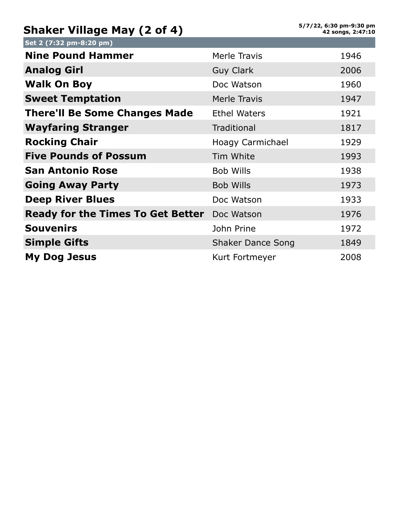## **Shaker Village May (2 of 4)**

| Set 2 (7:32 pm-8:20 pm)                  |                          |      |
|------------------------------------------|--------------------------|------|
| <b>Nine Pound Hammer</b>                 | Merle Travis             | 1946 |
| <b>Analog Girl</b>                       | <b>Guy Clark</b>         | 2006 |
| <b>Walk On Boy</b>                       | Doc Watson               | 1960 |
| <b>Sweet Temptation</b>                  | Merle Travis             | 1947 |
| <b>There'll Be Some Changes Made</b>     | <b>Ethel Waters</b>      | 1921 |
| <b>Wayfaring Stranger</b>                | <b>Traditional</b>       | 1817 |
| <b>Rocking Chair</b>                     | Hoagy Carmichael         | 1929 |
| <b>Five Pounds of Possum</b>             | Tim White                | 1993 |
| <b>San Antonio Rose</b>                  | <b>Bob Wills</b>         | 1938 |
| <b>Going Away Party</b>                  | <b>Bob Wills</b>         | 1973 |
| <b>Deep River Blues</b>                  | Doc Watson               | 1933 |
| <b>Ready for the Times To Get Better</b> | Doc Watson               | 1976 |
| <b>Souvenirs</b>                         | John Prine               | 1972 |
| <b>Simple Gifts</b>                      | <b>Shaker Dance Song</b> | 1849 |
| <b>My Dog Jesus</b>                      | Kurt Fortmeyer           | 2008 |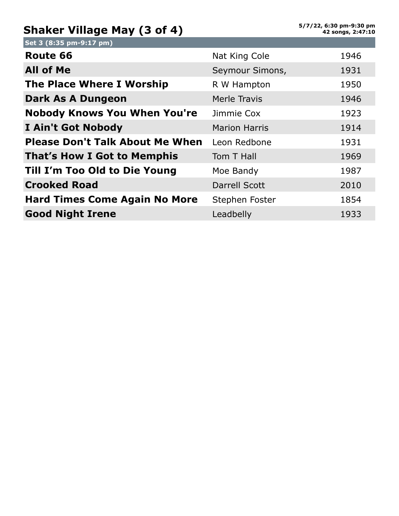## **Shaker Village May (3 of 4)**

| Set 3 (8:35 pm-9:17 pm)                |                      |      |
|----------------------------------------|----------------------|------|
| Route 66                               | Nat King Cole        | 1946 |
| <b>All of Me</b>                       | Seymour Simons,      | 1931 |
| The Place Where I Worship              | R W Hampton          | 1950 |
| Dark As A Dungeon                      | Merle Travis         | 1946 |
| <b>Nobody Knows You When You're</b>    | Jimmie Cox           | 1923 |
| <b>I Ain't Got Nobody</b>              | <b>Marion Harris</b> | 1914 |
| <b>Please Don't Talk About Me When</b> | Leon Redbone         | 1931 |
| <b>That's How I Got to Memphis</b>     | Tom T Hall           | 1969 |
| Till I'm Too Old to Die Young          | Moe Bandy            | 1987 |
| <b>Crooked Road</b>                    | <b>Darrell Scott</b> | 2010 |
| <b>Hard Times Come Again No More</b>   | Stephen Foster       | 1854 |
| <b>Good Night Irene</b>                | Leadbelly            | 1933 |